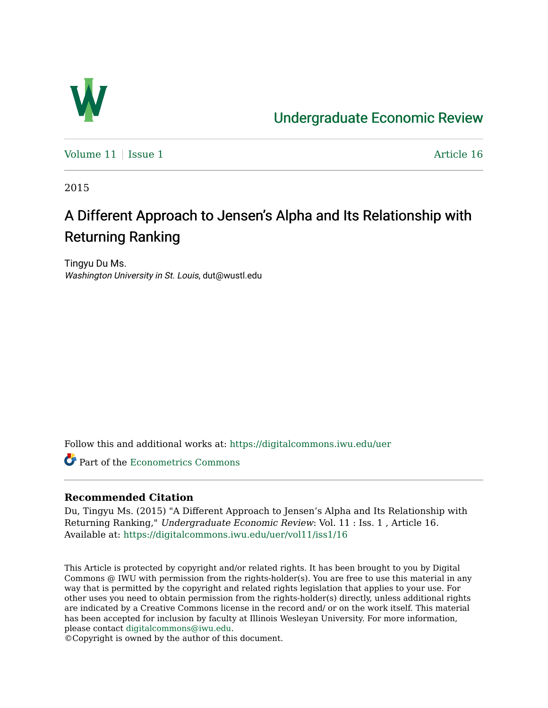

## [Undergraduate Economic Review](https://digitalcommons.iwu.edu/uer)

Volume  $11$  [Issue 1](https://digitalcommons.iwu.edu/uer/vol11/iss1)  $\blacksquare$ 

2015

# A Different Approach to Jensen's Alpha and Its Relationship with Returning Ranking

Tingyu Du Ms. Washington University in St. Louis, dut@wustl.edu

Follow this and additional works at: [https://digitalcommons.iwu.edu/uer](https://digitalcommons.iwu.edu/uer?utm_source=digitalcommons.iwu.edu%2Fuer%2Fvol11%2Fiss1%2F16&utm_medium=PDF&utm_campaign=PDFCoverPages)

**C** Part of the [Econometrics Commons](http://network.bepress.com/hgg/discipline/342?utm_source=digitalcommons.iwu.edu%2Fuer%2Fvol11%2Fiss1%2F16&utm_medium=PDF&utm_campaign=PDFCoverPages)

#### **Recommended Citation**

Du, Tingyu Ms. (2015) "A Different Approach to Jensen's Alpha and Its Relationship with Returning Ranking," Undergraduate Economic Review: Vol. 11 : Iss. 1 , Article 16. Available at: [https://digitalcommons.iwu.edu/uer/vol11/iss1/16](https://digitalcommons.iwu.edu/uer/vol11/iss1/16?utm_source=digitalcommons.iwu.edu%2Fuer%2Fvol11%2Fiss1%2F16&utm_medium=PDF&utm_campaign=PDFCoverPages) 

This Article is protected by copyright and/or related rights. It has been brought to you by Digital Commons @ IWU with permission from the rights-holder(s). You are free to use this material in any way that is permitted by the copyright and related rights legislation that applies to your use. For other uses you need to obtain permission from the rights-holder(s) directly, unless additional rights are indicated by a Creative Commons license in the record and/ or on the work itself. This material has been accepted for inclusion by faculty at Illinois Wesleyan University. For more information, please contact [digitalcommons@iwu.edu.](mailto:digitalcommons@iwu.edu)

©Copyright is owned by the author of this document.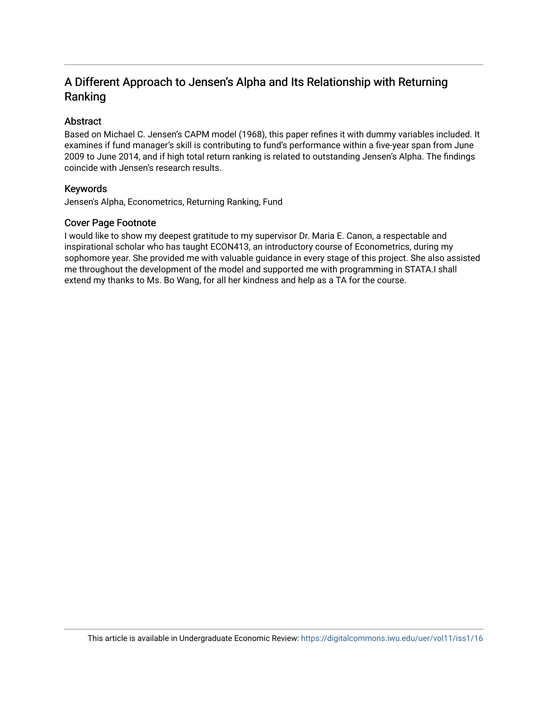## A Different Approach to Jensen's Alpha and Its Relationship with Returning Ranking

#### Abstract

Based on Michael C. Jensen's CAPM model (1968), this paper refines it with dummy variables included. It examines if fund manager's skill is contributing to fund's performance within a five-year span from June 2009 to June 2014, and if high total return ranking is related to outstanding Jensen's Alpha. The findings coincide with Jensen's research results.

#### Keywords

Jensen's Alpha, Econometrics, Returning Ranking, Fund

#### Cover Page Footnote

I would like to show my deepest gratitude to my supervisor Dr. Maria E. Canon, a respectable and inspirational scholar who has taught ECON413, an introductory course of Econometrics, during my sophomore year. She provided me with valuable guidance in every stage of this project. She also assisted me throughout the development of the model and supported me with programming in STATA.I shall extend my thanks to Ms. Bo Wang, for all her kindness and help as a TA for the course.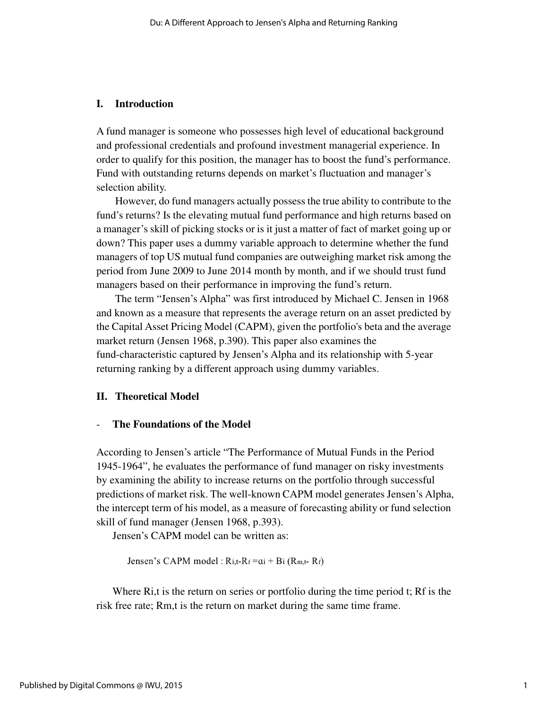#### **I. Introduction**

A fund manager is someone who possesses high level of educational background and professional credentials and profound investment managerial experience. In order to qualify for this position, the manager has to boost the fund's performance. Fund with outstanding returns depends on market's fluctuation and manager's selection ability.

However, do fund managers actually possess the true ability to contribute to the fund's returns? Is the elevating mutual fund performance and high returns based on a manager's skill of picking stocks or is it just a matter of fact of market going up or down? This paper uses a dummy variable approach to determine whether the fund managers of top US mutual fund companies are outweighing market risk among the period from June 2009 to June 2014 month by month, and if we should trust fund managers based on their performance in improving the fund's return.

The term "Jensen's Alpha" was first introduced by Michael C. Jensen in 1968 and known as a measure that represents the average return on an asset predicted by the Capital Asset Pricing Model (CAPM), given the portfolio's beta and the average market return (Jensen 1968, p.390). This paper also examines the fund-characteristic captured by Jensen's Alpha and its relationship with 5-year returning ranking by a different approach using dummy variables.

#### **II. Theoretical Model**

#### **The Foundations of the Model**

According to Jensen's article "The Performance of Mutual Funds in the Period 1945-1964", he evaluates the performance of fund manager on risky investments by examining the ability to increase returns on the portfolio through successful predictions of market risk. The well-known CAPM model generates Jensen's Alpha, the intercept term of his model, as a measure of forecasting ability or fund selection skill of fund manager (Jensen 1968, p.393).

Jensen's CAPM model can be written as:

Jensen's CAPM model :  $R_{i,t}$ - $R_f$  =  $ai + Bi(R_{m,t}$ -  $R_f)$ 

Where Ri,t is the return on series or portfolio during the time period t; Rf is the risk free rate; Rm,t is the return on market during the same time frame.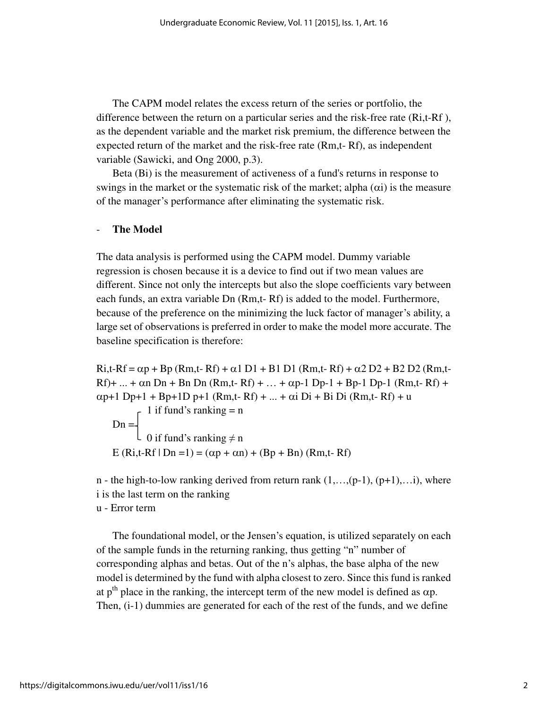The CAPM model relates the excess return of the series or portfolio, the difference between the return on a particular series and the risk-free rate (Ri,t-Rf ), as the dependent variable and the market risk premium, the difference between the expected return of the market and the risk-free rate (Rm,t- Rf), as independent variable (Sawicki, and Ong 2000, p.3).

Beta (Bi) is the measurement of activeness of a fund's returns in response to swings in the market or the systematic risk of the market; alpha  $(\alpha i)$  is the measure of the manager's performance after eliminating the systematic risk.

#### - **The Model**

The data analysis is performed using the CAPM model. Dummy variable regression is chosen because it is a device to find out if two mean values are different. Since not only the intercepts but also the slope coefficients vary between each funds, an extra variable Dn (Rm,t- Rf) is added to the model. Furthermore, because of the preference on the minimizing the luck factor of manager's ability, a large set of observations is preferred in order to make the model more accurate. The baseline specification is therefore:

 $Ri,t-Rf = \alpha p + Bp (Rm,t-Rf) + \alpha 1 D1 + B1 D1 (Rm,t-Rf) + \alpha 2 D2 + B2 D2 (Rm,t-Pf)$  $Rf$ + ... +  $\alpha n$  Dn + Bn Dn (Rm,t- Rf) + ... +  $\alpha p$ -1 Dp-1 + Bp-1 Dp-1 (Rm,t- Rf) +  $\alpha$ p+1 Dp+1 + Bp+1D p+1 (Rm,t- Rf) + ... +  $\alpha$ i Di + Bi Di (Rm,t- Rf) + u

 1 if fund's ranking = n  $Dn =$  $\downarrow$  0 if fund's ranking ≠ n E (Ri,t-Rf | Dn = 1) = ( $\alpha p + \alpha n$ ) + (Bp + Bn) (Rm,t-Rf)

n - the high-to-low ranking derived from return rank  $(1,...,(p-1),(p+1),...i)$ , where i is the last term on the ranking

#### u - Error term

The foundational model, or the Jensen's equation, is utilized separately on each of the sample funds in the returning ranking, thus getting "n" number of corresponding alphas and betas. Out of the n's alphas, the base alpha of the new model is determined by the fund with alpha closest to zero. Since this fund is ranked at p<sup>th</sup> place in the ranking, the intercept term of the new model is defined as  $\alpha p$ . Then, (i-1) dummies are generated for each of the rest of the funds, and we define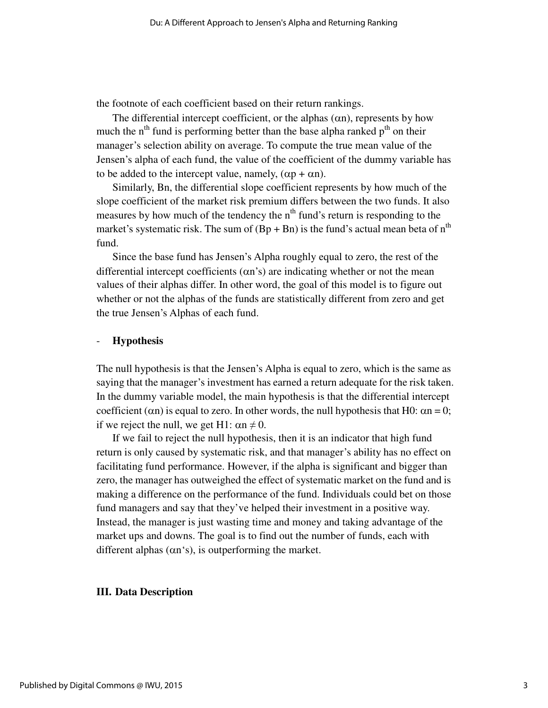the footnote of each coefficient based on their return rankings.

The differential intercept coefficient, or the alphas  $(\alpha n)$ , represents by how much the  $n<sup>th</sup>$  fund is performing better than the base alpha ranked  $p<sup>th</sup>$  on their manager's selection ability on average. To compute the true mean value of the Jensen's alpha of each fund, the value of the coefficient of the dummy variable has to be added to the intercept value, namely,  $(\alpha p + \alpha n)$ .

Similarly, Bn, the differential slope coefficient represents by how much of the slope coefficient of the market risk premium differs between the two funds. It also measures by how much of the tendency the  $n<sup>th</sup>$  fund's return is responding to the market's systematic risk. The sum of  $(Bp + Bn)$  is the fund's actual mean beta of  $n<sup>th</sup>$ fund.

Since the base fund has Jensen's Alpha roughly equal to zero, the rest of the differential intercept coefficients  $(\alpha n)$  are indicating whether or not the mean values of their alphas differ. In other word, the goal of this model is to figure out whether or not the alphas of the funds are statistically different from zero and get the true Jensen's Alphas of each fund.

#### - **Hypothesis**

The null hypothesis is that the Jensen's Alpha is equal to zero, which is the same as saying that the manager's investment has earned a return adequate for the risk taken. In the dummy variable model, the main hypothesis is that the differential intercept coefficient ( $\alpha$ n) is equal to zero. In other words, the null hypothesis that H0:  $\alpha$ n = 0; if we reject the null, we get H1:  $\alpha n \neq 0$ .

If we fail to reject the null hypothesis, then it is an indicator that high fund return is only caused by systematic risk, and that manager's ability has no effect on facilitating fund performance. However, if the alpha is significant and bigger than zero, the manager has outweighed the effect of systematic market on the fund and is making a difference on the performance of the fund. Individuals could bet on those fund managers and say that they've helped their investment in a positive way. Instead, the manager is just wasting time and money and taking advantage of the market ups and downs. The goal is to find out the number of funds, each with different alphas  $(\alpha n's)$ , is outperforming the market.

#### **III. Data Description**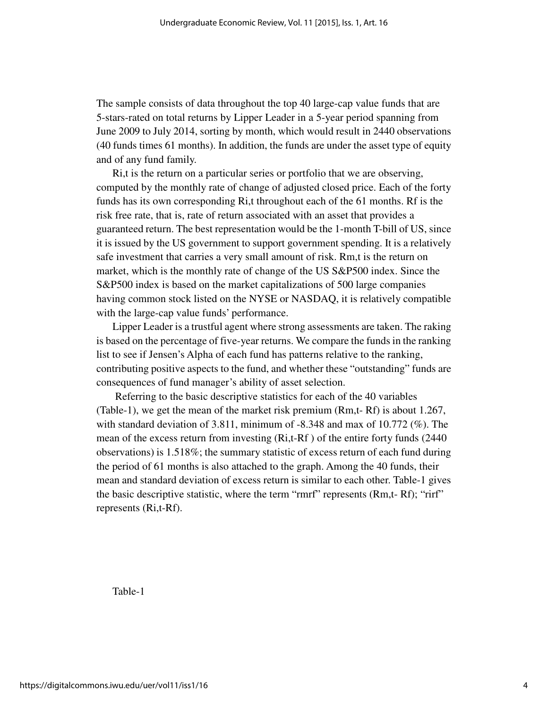The sample consists of data throughout the top 40 large-cap value funds that are 5-stars-rated on total returns by Lipper Leader in a 5-year period spanning from June 2009 to July 2014, sorting by month, which would result in 2440 observations (40 funds times 61 months). In addition, the funds are under the asset type of equity and of any fund family.

Ri,t is the return on a particular series or portfolio that we are observing, computed by the monthly rate of change of adjusted closed price. Each of the forty funds has its own corresponding Ri,t throughout each of the 61 months. Rf is the risk free rate, that is, rate of return associated with an asset that provides a guaranteed return. The best representation would be the 1-month T-bill of US, since it is issued by the US government to support government spending. It is a relatively safe investment that carries a very small amount of risk. Rm,t is the return on market, which is the monthly rate of change of the US S&P500 index. Since the S&P500 index is based on the market capitalizations of 500 large companies having common stock listed on the NYSE or NASDAQ, it is relatively compatible with the large-cap value funds' performance.

Lipper Leader is a trustful agent where strong assessments are taken. The raking is based on the percentage of five-year returns. We compare the funds in the ranking list to see if Jensen's Alpha of each fund has patterns relative to the ranking, contributing positive aspects to the fund, and whether these "outstanding" funds are consequences of fund manager's ability of asset selection.

 Referring to the basic descriptive statistics for each of the 40 variables (Table-1), we get the mean of the market risk premium (Rm,t- Rf) is about 1.267, with standard deviation of 3.811, minimum of  $-8.348$  and max of 10.772 (%). The mean of the excess return from investing (Ri,t-Rf ) of the entire forty funds (2440 observations) is 1.518%; the summary statistic of excess return of each fund during the period of 61 months is also attached to the graph. Among the 40 funds, their mean and standard deviation of excess return is similar to each other. Table-1 gives the basic descriptive statistic, where the term "rmrf" represents (Rm,t- Rf); "rirf" represents (Ri,t-Rf).

Table-1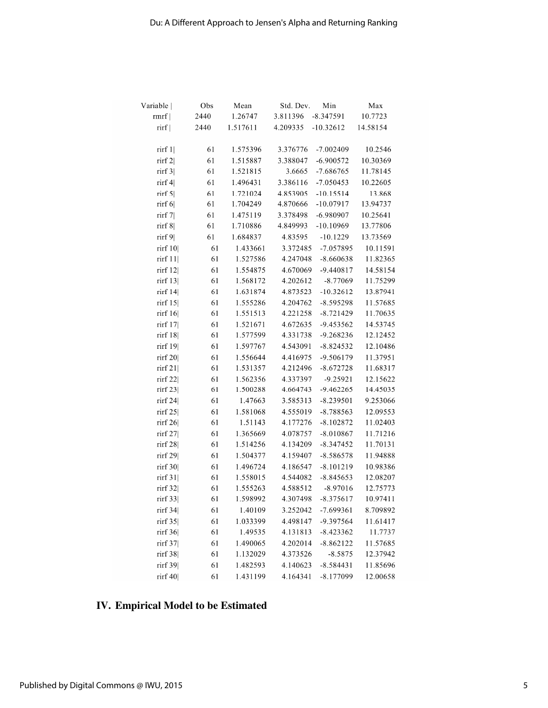| Variable                               | Obs  | Mean     | Std. Dev. | Min         | Max      |
|----------------------------------------|------|----------|-----------|-------------|----------|
| rmrf                                   | 2440 | 1.26747  | 3.811396  | $-8.347591$ | 10.7723  |
| rirf                                   | 2440 | 1.517611 | 4.209335  | $-10.32612$ | 14.58154 |
|                                        |      |          |           |             |          |
| rirf $1$                               | 61   | 1.575396 | 3.376776  | $-7.002409$ | 10.2546  |
| $\text{rirf } 2$                       | 61   | 1.515887 | 3.388047  | $-6.900572$ | 10.30369 |
| rirf $3$                               | 61   | 1.521815 | 3.6665    | $-7.686765$ | 11.78145 |
| $\operatorname{rirf} 4$                | 61   | 1.496431 | 3.386116  | $-7.050453$ | 10.22605 |
| rirf $5$                               | 61   | 1.721024 | 4.853905  | $-10.15514$ | 13.868   |
| rirf $6$                               | 61   | 1.704249 | 4.870666  | $-10.07917$ | 13.94737 |
| $\lim_{t \to \infty}$                  | 61   | 1.475119 | 3.378498  | $-6.980907$ | 10.25641 |
| rirf $8$                               | 61   | 1.710886 | 4.849993  | $-10.10969$ | 13.77806 |
| $\lim_{\left\vert \theta\right\vert }$ | 61   | 1.684837 | 4.83595   | $-10.1229$  | 13.73569 |
| rirf 10                                | 61   | 1.433661 | 3.372485  | $-7.057895$ | 10.11591 |
| rirf $11$                              | 61   | 1.527586 | 4.247048  | $-8.660638$ | 11.82365 |
| rirf 12                                | 61   | 1.554875 | 4.670069  | $-9.440817$ | 14.58154 |
| rirf $13$                              | 61   | 1.568172 | 4.202612  | $-8.77069$  | 11.75299 |
| rirf 14                                | 61   | 1.631874 | 4.873523  | $-10.32612$ | 13.87941 |
| rirf $15$                              | 61   | 1.555286 | 4.204762  | $-8.595298$ | 11.57685 |
| $\text{rirf } 16$                      | 61   | 1.551513 | 4.221258  | $-8.721429$ | 11.70635 |
| rirf 17                                | 61   | 1.521671 | 4.672635  | $-9.453562$ | 14.53745 |
| rirf 18                                | 61   | 1.577599 | 4.331738  | $-9.268236$ | 12.12452 |
| rirf 19                                | 61   | 1.597767 | 4.543091  | $-8.824532$ | 12.10486 |
| rirf $20$                              | 61   | 1.556644 | 4.416975  | $-9.506179$ | 11.37951 |
| rirf $21$                              | 61   | 1.531357 | 4.212496  | $-8.672728$ | 11.68317 |
| $\lim_{22}$                            | 61   | 1.562356 | 4.337397  | $-9.25921$  | 12.15622 |
| rirf $23$                              | 61   | 1.500288 | 4.664743  | $-9.462265$ | 14.45035 |
| rirf 24                                | 61   | 1.47663  | 3.585313  | $-8.239501$ | 9.253066 |
| rirf $25$                              | 61   | 1.581068 | 4.555019  | $-8.788563$ | 12.09553 |
| rirf 26                                | 61   | 1.51143  | 4.177276  | $-8.102872$ | 11.02403 |
| $\frac{r}{1}$ 11 $\frac{r}{27}$        | 61   | 1.365669 | 4.078757  | $-8.010867$ | 11.71216 |
| rirf $28$                              | 61   | 1.514256 | 4.134209  | $-8.347452$ | 11.70131 |
| $\frac{r}{1}$ 10 $\frac{r}{29}$        | 61   | 1.504377 | 4.159407  | $-8.586578$ | 11.94888 |
| rirf 30                                | 61   | 1.496724 | 4.186547  | $-8.101219$ | 10.98386 |
| rirf $31$                              | 61   | 1.558015 | 4.544082  | $-8.845653$ | 12.08207 |
| rirf 32                                | 61   | 1.555263 | 4.588512  | $-8.97016$  | 12.75773 |
| rirf 33                                | 61   | 1.598992 | 4.307498  | $-8.375617$ | 10.97411 |
| $\operatorname{rif} 34$                | 61   | 1.40109  | 3.252042  | $-7.699361$ | 8.709892 |
| rirf $35$                              | 61   | 1.033399 | 4.498147  | -9.397564   | 11.61417 |
| rirf $36$                              | 61   | 1.49535  | 4.131813  | $-8.423362$ | 11.7737  |
| $\lim$ 37                              | 61   | 1.490065 | 4.202014  | $-8.862122$ | 11.57685 |
| rirf 38                                | 61   | 1.132029 | 4.373526  | $-8.5875$   | 12.37942 |
| rirf 39                                | 61   | 1.482593 | 4.140623  | $-8.584431$ | 11.85696 |
| rirf $40$                              | 61   | 1.431199 | 4.164341  | $-8.177099$ | 12.00658 |

### **IV. Empirical Model to be Estimated**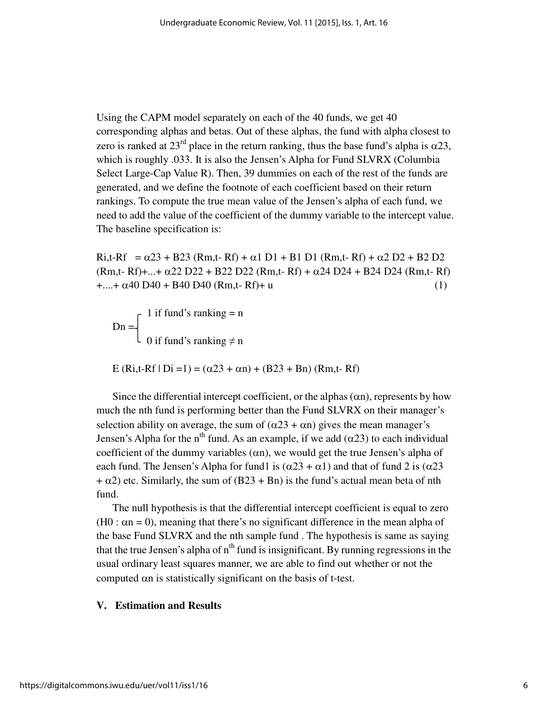Using the CAPM model separately on each of the 40 funds, we get 40 corresponding alphas and betas. Out of these alphas, the fund with alpha closest to zero is ranked at 23<sup>rd</sup> place in the return ranking, thus the base fund's alpha is  $\alpha$ 23, which is roughly .033. It is also the Jensen's Alpha for Fund SLVRX (Columbia Select Large-Cap Value R). Then, 39 dummies on each of the rest of the funds are generated, and we define the footnote of each coefficient based on their return rankings. To compute the true mean value of the Jensen's alpha of each fund, we need to add the value of the coefficient of the dummy variable to the intercept value. The baseline specification is:

Ri,t-Rf =  $\alpha$ 23 + B23 (Rm,t- Rf) +  $\alpha$ 1 D1 + B1 D1 (Rm,t- Rf) +  $\alpha$ 2 D2 + B2 D2  $(Rm,t-Rf)$ +...+  $\alpha$ 22 D22 + B22 D22  $(Rm,t-Rf)$  +  $\alpha$ 24 D24 + B24 D24  $(Rm,t-Rf)$  $+...+\alpha 40 \text{ D}40 + \text{B}40 \text{ D}40 \text{ (Rm,t-Rf)} + u$  (1)

 $\begin{bmatrix} 1 \text{ if fund's ranking} = n \end{bmatrix}$  $Dn = \angle$  0 if fund's ranking ≠ n

E (Ri,t-Rf | Di =1) =  $(\alpha 23 + \alpha n) + (B23 + Bn)$  (Rm,t-Rf)

Since the differential intercept coefficient, or the alphas  $(\alpha n)$ , represents by how much the nth fund is performing better than the Fund SLVRX on their manager's selection ability on average, the sum of  $(\alpha 23 + \alpha n)$  gives the mean manager's Jensen's Alpha for the n<sup>th</sup> fund. As an example, if we add (α23) to each individual coefficient of the dummy variables (αn), we would get the true Jensen's alpha of each fund. The Jensen's Alpha for fund1 is  $(\alpha 23 + \alpha 1)$  and that of fund 2 is  $(\alpha 23$  $+ \alpha$ 2) etc. Similarly, the sum of (B23 + Bn) is the fund's actual mean beta of nth fund.

The null hypothesis is that the differential intercept coefficient is equal to zero (H0 :  $\alpha$ n = 0), meaning that there's no significant difference in the mean alpha of the base Fund SLVRX and the nth sample fund . The hypothesis is same as saying that the true Jensen's alpha of  $n<sup>th</sup>$  fund is insignificant. By running regressions in the usual ordinary least squares manner, we are able to find out whether or not the computed αn is statistically significant on the basis of t-test.

#### **V. Estimation and Results**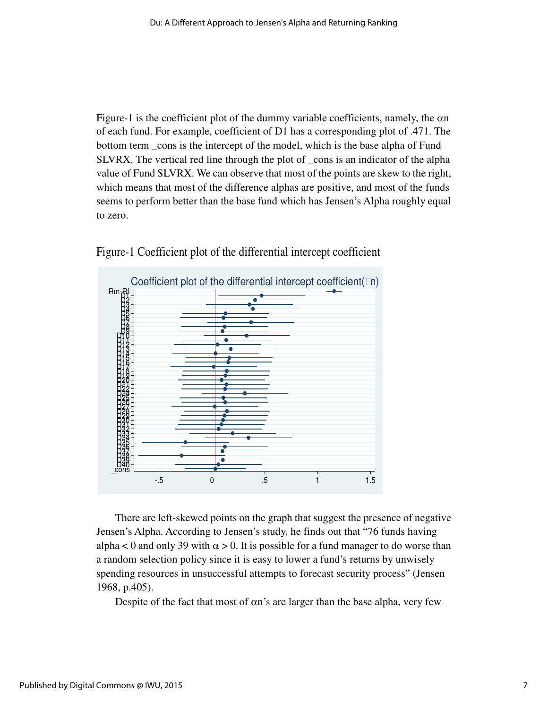Figure-1 is the coefficient plot of the dummy variable coefficients, namely, the αn of each fund. For example, coefficient of D1 has a corresponding plot of .471. The bottom term \_cons is the intercept of the model, which is the base alpha of Fund SLVRX. The vertical red line through the plot of \_cons is an indicator of the alpha value of Fund SLVRX. We can observe that most of the points are skew to the right, which means that most of the difference alphas are positive, and most of the funds seems to perform better than the base fund which has Jensen's Alpha roughly equal to zero.





There are left-skewed points on the graph that suggest the presence of negative Jensen's Alpha. According to Jensen's study, he finds out that "76 funds having alpha < 0 and only 39 with  $\alpha > 0$ . It is possible for a fund manager to do worse than a random selection policy since it is easy to lower a fund's returns by unwisely spending resources in unsuccessful attempts to forecast security process" (Jensen 1968, p.405).

Despite of the fact that most of αn's are larger than the base alpha, very few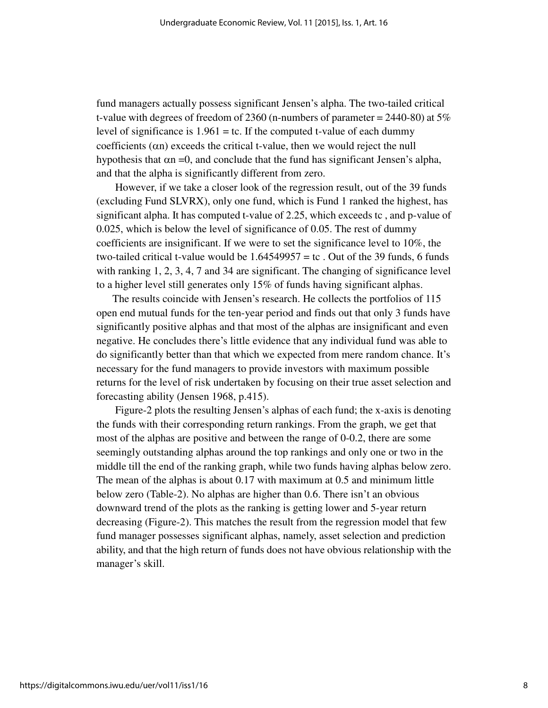fund managers actually possess significant Jensen's alpha. The two-tailed critical t-value with degrees of freedom of 2360 (n-numbers of parameter  $= 2440-80$ ) at  $5\%$ level of significance is  $1.961 =$  tc. If the computed t-value of each dummy coefficients (αn) exceeds the critical t-value, then we would reject the null hypothesis that  $\alpha$ n =0, and conclude that the fund has significant Jensen's alpha, and that the alpha is significantly different from zero.

However, if we take a closer look of the regression result, out of the 39 funds (excluding Fund SLVRX), only one fund, which is Fund 1 ranked the highest, has significant alpha. It has computed t-value of 2.25, which exceeds tc , and p-value of 0.025, which is below the level of significance of 0.05. The rest of dummy coefficients are insignificant. If we were to set the significance level to 10%, the two-tailed critical t-value would be  $1.64549957 =$  tc. Out of the 39 funds, 6 funds with ranking 1, 2, 3, 4, 7 and 34 are significant. The changing of significance level to a higher level still generates only 15% of funds having significant alphas.

The results coincide with Jensen's research. He collects the portfolios of 115 open end mutual funds for the ten-year period and finds out that only 3 funds have significantly positive alphas and that most of the alphas are insignificant and even negative. He concludes there's little evidence that any individual fund was able to do significantly better than that which we expected from mere random chance. It's necessary for the fund managers to provide investors with maximum possible returns for the level of risk undertaken by focusing on their true asset selection and forecasting ability (Jensen 1968, p.415).

Figure-2 plots the resulting Jensen's alphas of each fund; the x-axis is denoting the funds with their corresponding return rankings. From the graph, we get that most of the alphas are positive and between the range of 0-0.2, there are some seemingly outstanding alphas around the top rankings and only one or two in the middle till the end of the ranking graph, while two funds having alphas below zero. The mean of the alphas is about 0.17 with maximum at 0.5 and minimum little below zero (Table-2). No alphas are higher than 0.6. There isn't an obvious downward trend of the plots as the ranking is getting lower and 5-year return decreasing (Figure-2). This matches the result from the regression model that few fund manager possesses significant alphas, namely, asset selection and prediction ability, and that the high return of funds does not have obvious relationship with the manager's skill.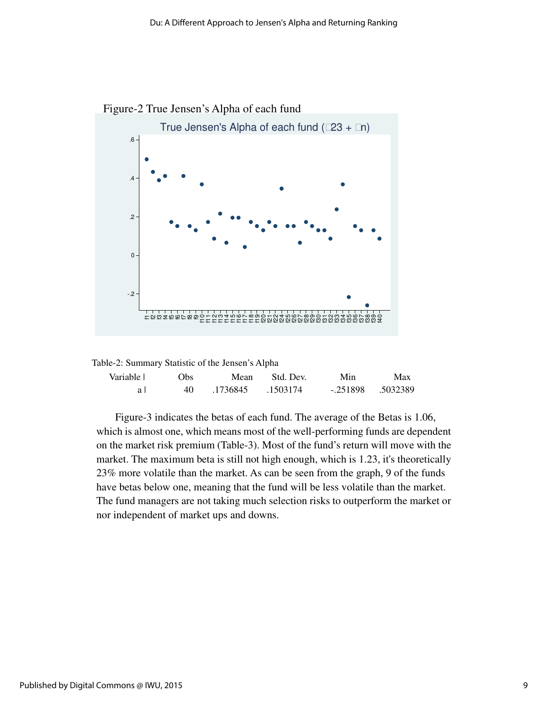



| Variable | Obs. | Mean              | Std. Dev. | Min | Max                   |
|----------|------|-------------------|-----------|-----|-----------------------|
| a l      | 40.  | .1736845 .1503174 |           |     | $-.251898$ $.5032389$ |

Figure-3 indicates the betas of each fund. The average of the Betas is 1.06, which is almost one, which means most of the well-performing funds are dependent on the market risk premium (Table-3). Most of the fund's return will move with the market. The maximum beta is still not high enough, which is 1.23, it's theoretically 23% more volatile than the market. As can be seen from the graph, 9 of the funds have betas below one, meaning that the fund will be less volatile than the market. The fund managers are not taking much selection risks to outperform the market or nor independent of market ups and downs.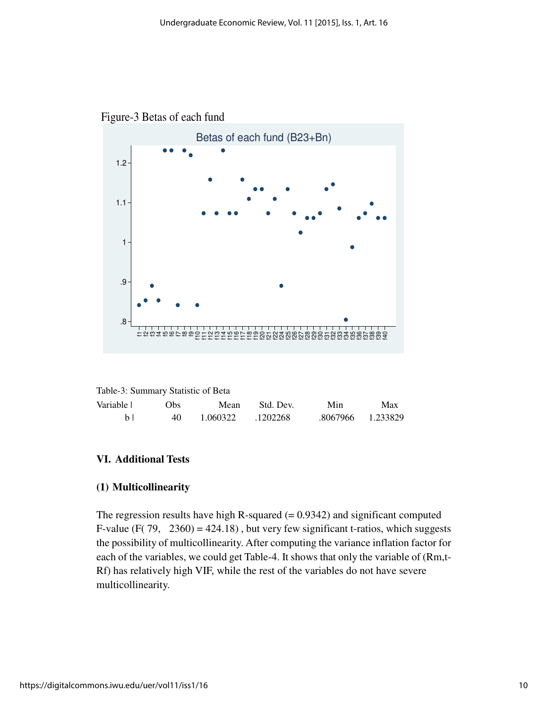

Figure-3 Betas of each fund

| Table-3: Summary Statistic of Beta |
|------------------------------------|
|------------------------------------|

| Variable | Obs. | Mean     | Std. Dev. | Min               | Max |
|----------|------|----------|-----------|-------------------|-----|
| h I      | 40   | 1.060322 | .1202268  | .8067966 1.233829 |     |

#### **VI. Additional Tests**

#### **(1) Multicollinearity**

The regression results have high R-squared  $(= 0.9342)$  and significant computed F-value (F( $79, 2360$ ) = 424.18), but very few significant t-ratios, which suggests the possibility of multicollinearity. After computing the variance inflation factor for each of the variables, we could get Table-4. It shows that only the variable of (Rm,t-Rf) has relatively high VIF, while the rest of the variables do not have severe multicollinearity.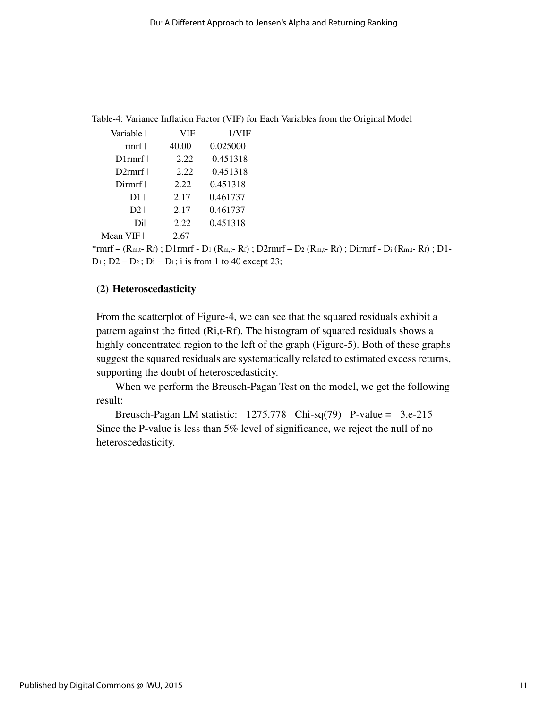Table-4: Variance Inflation Factor (VIF) for Each Variables from the Original Model

| Variable l | VIF   | 1/VIF    |
|------------|-------|----------|
| rmrf l     | 40.00 | 0.025000 |
| D1rmrf l   | 2.22  | 0.451318 |
| $D2$ rmrf  | 2.22  | 0.451318 |
| Dirmrf I   | 2.22  | 0.451318 |
| D1         | 2.17  | 0.461737 |
| D21        | 2.17  | 0.461737 |
| Dil        | 2.22  | 0.451318 |
| Mean VIF I | 2.67  |          |

\*rmrf – (Rm,t- Rf) ; D1rmrf - D1 (Rm,t- Rf) ; D2rmrf – D2 (Rm,t- Rf) ; Dirmrf - Di (Rm,t- Rf) ; D1-  $D_1$ ;  $D_2 - D_2$ ;  $D_i - D_i$ ; i is from 1 to 40 except 23;

#### **(2) Heteroscedasticity**

From the scatterplot of Figure-4, we can see that the squared residuals exhibit a pattern against the fitted (Ri,t-Rf). The histogram of squared residuals shows a highly concentrated region to the left of the graph (Figure-5). Both of these graphs suggest the squared residuals are systematically related to estimated excess returns, supporting the doubt of heteroscedasticity.

When we perform the Breusch-Pagan Test on the model, we get the following result:

Breusch-Pagan LM statistic: 1275.778 Chi-sq(79) P-value = 3.e-215 Since the P-value is less than 5% level of significance, we reject the null of no heteroscedasticity.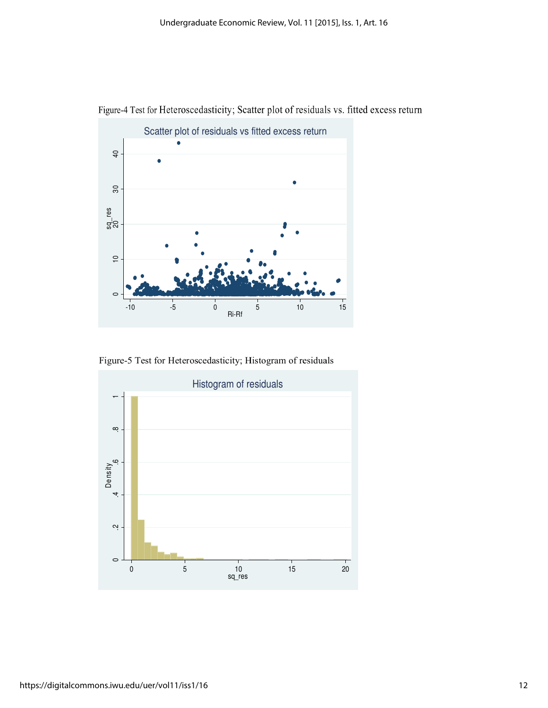

Figure-4 Test for Heteroscedasticity; Scatter plot of residuals vs. fitted excess return

Figure-5 Test for Heteroscedasticity; Histogram of residuals

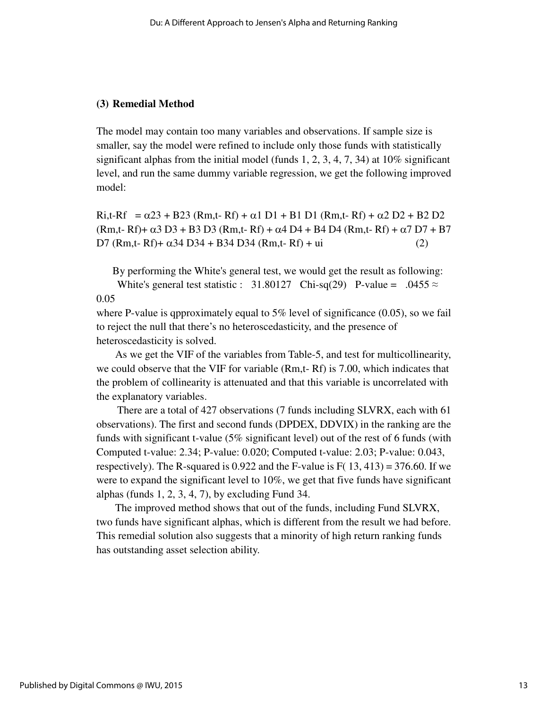#### **(3) Remedial Method**

The model may contain too many variables and observations. If sample size is smaller, say the model were refined to include only those funds with statistically significant alphas from the initial model (funds 1, 2, 3, 4, 7, 34) at  $10\%$  significant level, and run the same dummy variable regression, we get the following improved model:

Ri,t-Rf =  $\alpha$ 23 + B23 (Rm,t- Rf) +  $\alpha$ 1 D1 + B1 D1 (Rm,t- Rf) +  $\alpha$ 2 D2 + B2 D2 (Rm,t- Rf) +  $\alpha$ 3 D3 + B3 D3 (Rm,t- Rf) +  $\alpha$ 4 D4 + B4 D4 (Rm,t- Rf) +  $\alpha$ 7 D7 + B7 D7 (Rm,t- Rf)+  $α34$  D34 + B34 D34 (Rm,t- Rf) + ui (2)

By performing the White's general test, we would get the result as following:

White's general test statistic : 31.80127 Chi-sq(29) P-value = .0455  $\approx$ 0.05

where P-value is qpproximately equal to 5% level of significance  $(0.05)$ , so we fail to reject the null that there's no heteroscedasticity, and the presence of heteroscedasticity is solved.

 As we get the VIF of the variables from Table-5, and test for multicollinearity, we could observe that the VIF for variable (Rm,t- Rf) is 7.00, which indicates that the problem of collinearity is attenuated and that this variable is uncorrelated with the explanatory variables.

There are a total of 427 observations (7 funds including SLVRX, each with 61 observations). The first and second funds (DPDEX, DDVIX) in the ranking are the funds with significant t-value (5% significant level) out of the rest of 6 funds (with Computed t-value: 2.34; P-value: 0.020; Computed t-value: 2.03; P-value: 0.043, respectively). The R-squared is 0.922 and the F-value is  $F(13, 413) = 376.60$ . If we were to expand the significant level to 10%, we get that five funds have significant alphas (funds  $1, 2, 3, 4, 7$ ), by excluding Fund 34.

The improved method shows that out of the funds, including Fund SLVRX, two funds have significant alphas, which is different from the result we had before. This remedial solution also suggests that a minority of high return ranking funds has outstanding asset selection ability.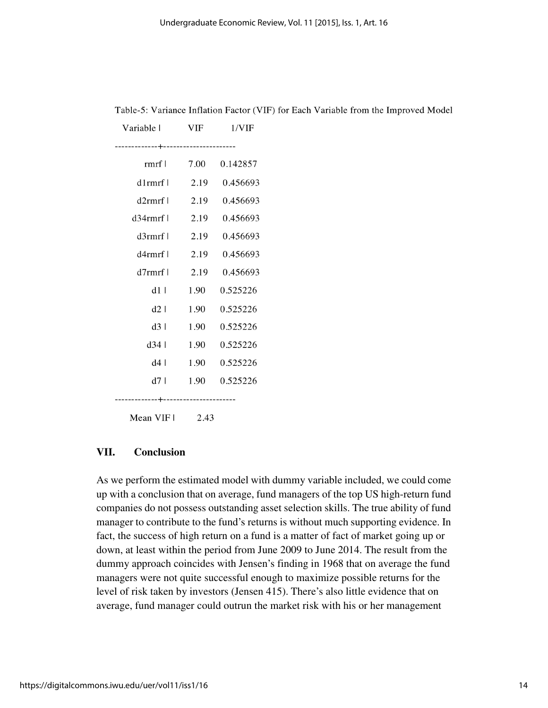| Variable l                             | VIF  | 1/VIF    |  |
|----------------------------------------|------|----------|--|
| -----------+----------------------     |      |          |  |
| rmrf l                                 | 7.00 | 0.142857 |  |
| $d1$ rmrf                              | 2.19 | 0.456693 |  |
| d2rmfr                                 | 2.19 | 0.456693 |  |
| d34rmrf l                              | 2.19 | 0.456693 |  |
| d3rmrf                                 | 2.19 | 0.456693 |  |
| d4rmrf                                 | 2.19 | 0.456693 |  |
| $d7$ rmrf l                            | 2.19 | 0.456693 |  |
| d1                                     | 1.90 | 0.525226 |  |
| d2                                     | 1.90 | 0.525226 |  |
| d3                                     | 1.90 | 0.525226 |  |
| d34                                    | 1.90 | 0.525226 |  |
| d4 l                                   | 1.90 | 0.525226 |  |
| d7 I                                   | 1.90 | 0.525226 |  |
| --------------+----------------------- |      |          |  |

Table-5: Variance Inflation Factor (VIF) for Each Variable from the Improved Model

Mean VIF1 2.43

#### **VII. Conclusion**

As we perform the estimated model with dummy variable included, we could come up with a conclusion that on average, fund managers of the top US high-return fund companies do not possess outstanding asset selection skills. The true ability of fund manager to contribute to the fund's returns is without much supporting evidence. In fact, the success of high return on a fund is a matter of fact of market going up or down, at least within the period from June 2009 to June 2014. The result from the dummy approach coincides with Jensen's finding in 1968 that on average the fund managers were not quite successful enough to maximize possible returns for the level of risk taken by investors (Jensen 415). There's also little evidence that on average, fund manager could outrun the market risk with his or her management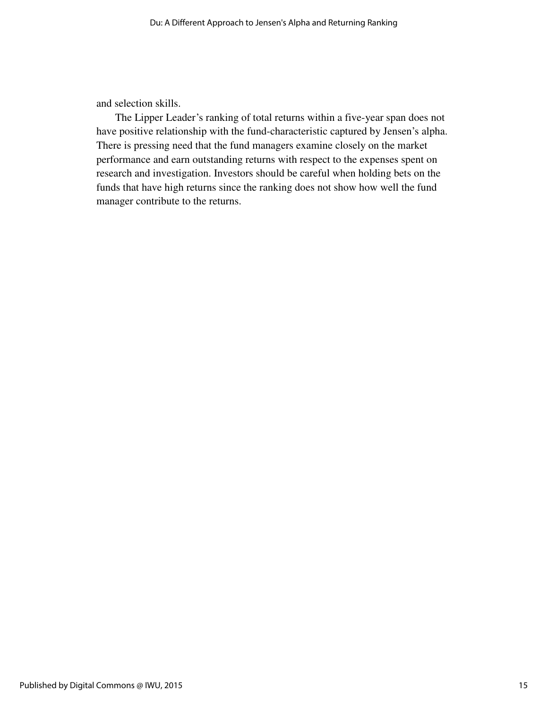and selection skills.

 The Lipper Leader's ranking of total returns within a five-year span does not have positive relationship with the fund-characteristic captured by Jensen's alpha. There is pressing need that the fund managers examine closely on the market performance and earn outstanding returns with respect to the expenses spent on research and investigation. Investors should be careful when holding bets on the funds that have high returns since the ranking does not show how well the fund manager contribute to the returns.